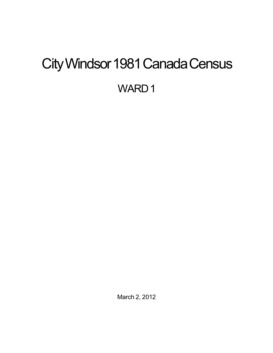# <span id="page-0-0"></span>City Windsor 1981 Canada Census WARD<sub>1</sub>

March 2, 2012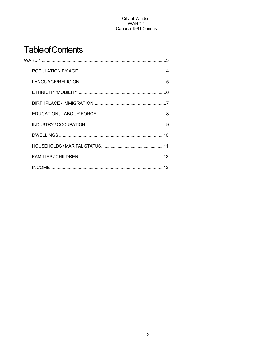# **Table of Contents**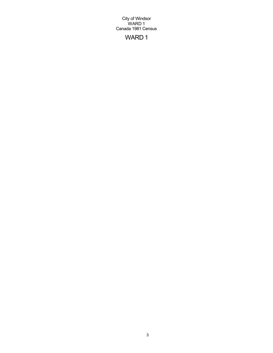# WARD 1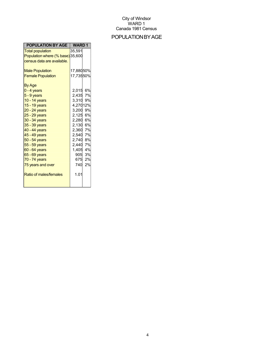### POPULATIONBYAGE

| POPULATION BY AGE                | <b>WARD1</b> |
|----------------------------------|--------------|
| <b>Total population</b>          | 35,591       |
| Population where (% base) 35,600 |              |
| census data are available.       |              |
|                                  |              |
| <b>Male Population</b>           | 17,88050%    |
| <b>Female Population</b>         | 17,73550%    |
| <b>By Age</b>                    |              |
| $0 - 4$ years                    | 2,015 6%     |
| $5 - 9$ years                    | 2,435 7%     |
| 10 - 14 years                    | 3,310 9%     |
| 15 - 19 years                    | 4,27012%     |
| $20 - 24$ years                  | 3,200 9%     |
| 25 - 29 years                    | 2,125 6%     |
| 30 - 34 years                    | 2,280 6%     |
| 35 - 39 years                    | 2,130 6%     |
| 40 - 44 years                    | 2,360 7%     |
| $45 - 49$ years                  | 2,540 7%     |
| 50 - 54 years                    | 2,740 8%     |
| 55 - 59 years                    | 2.440 7%     |
| 60 - 64 years                    | 1,405<br>4%  |
| 65 - 69 years                    | 905 3%       |
| 70 - 74 years                    | 675<br>2%    |
| 75 years and over                | 2%<br>740    |
| Ratio of males/females           | 1.01         |
|                                  |              |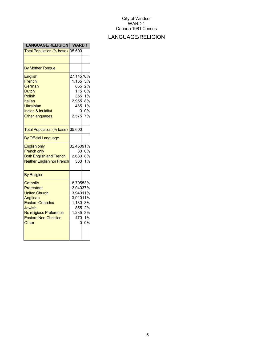# LANGUAGE/RELIGION

| <b>LANGUAGE/RELIGION</b>                                                                                                                                            | <b>WARD1</b>                                                                       |                                  |
|---------------------------------------------------------------------------------------------------------------------------------------------------------------------|------------------------------------------------------------------------------------|----------------------------------|
| Total Population (% base)                                                                                                                                           | 35,600                                                                             |                                  |
|                                                                                                                                                                     |                                                                                    |                                  |
| <b>By Mother Tongue</b>                                                                                                                                             |                                                                                    |                                  |
| <b>English</b><br>French<br>German<br><b>Dutch</b><br><b>Polish</b><br>Italian<br>Ukrainian<br><b>Indian &amp; Inuktitut</b><br><b>Other languages</b>              | 27,14576%<br>1,165<br>855<br>115<br>355<br>$2,955$ 8%<br>465 1%<br>0<br>2,575      | 3%<br>2%<br>0%<br>1%<br>0%<br>7% |
| Total Population (% base)                                                                                                                                           | 35,600                                                                             |                                  |
| <b>By Official Language</b>                                                                                                                                         |                                                                                    |                                  |
| <b>English only</b><br><b>French only</b><br><b>Both English and French</b><br><b>Neither English nor French</b>                                                    | 32,45091%<br>30<br>2,680<br>360                                                    | 0%<br>8%<br>1%                   |
| <b>By Religion</b>                                                                                                                                                  |                                                                                    |                                  |
| Catholic<br>Protestant<br><b>United Church</b><br>Anglican<br><b>Eastern Orthodox</b><br>Jewish<br>No religious Preference<br><b>Eastern Non-Christian</b><br>Other | 18,79553%<br>13,04037%<br>3,94011%<br>3,91011%<br>1,130 3%<br>1,235 3%<br>470<br>በ | 855 2%<br>1%<br>0%               |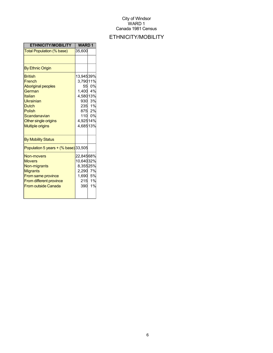# ETHNICITY/MOBILITY

| <b>ETHNICITY/MOBILITY</b>                                                                                                                                                            | <b>WARD1</b>                                                       |                                                     |
|--------------------------------------------------------------------------------------------------------------------------------------------------------------------------------------|--------------------------------------------------------------------|-----------------------------------------------------|
| Total Population (% base)                                                                                                                                                            | 35,600                                                             |                                                     |
|                                                                                                                                                                                      |                                                                    |                                                     |
| <b>By Ethnic Origin</b>                                                                                                                                                              |                                                                    |                                                     |
| <b>British</b><br>French<br><b>Aboriginal peoples</b><br>German<br>Italian<br>Ukrainian<br><b>Dutch</b><br>Polish<br>Scandanavian<br>Other single origins<br><b>Multiple origins</b> | 13,94539%<br>3,79011%<br>1,400<br>4,58013%<br>4,92514%<br>4,68513% | 55 0%<br>4%<br>930 3%<br>235 1%<br>875 2%<br>110 0% |
| <b>By Mobility Status</b>                                                                                                                                                            |                                                                    |                                                     |
| Population 5 years $+(%$ base) 33,505                                                                                                                                                |                                                                    |                                                     |
| Non-movers<br><b>Movers</b><br>Non-migrants<br><b>Migrants</b><br><b>From same province</b><br><b>From different province</b><br><b>From outside Canada</b>                          | 22,84568%<br>10,64032%<br>8,35525%<br>2,290 7%<br>1,690 5%<br>390  | 215 1%<br>1%                                        |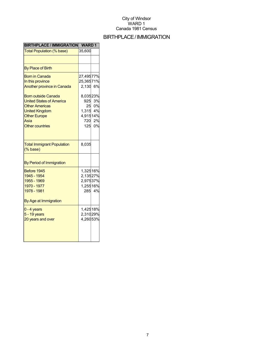#### BIRTHPLACE/IMMIGRATION

| <b>BIRTHPLACE / IMMIGRATION</b>                                                                                                                                                                                                                            | <b>WARD1</b>                                                                         |                             |
|------------------------------------------------------------------------------------------------------------------------------------------------------------------------------------------------------------------------------------------------------------|--------------------------------------------------------------------------------------|-----------------------------|
| <b>Total Population (% base)</b>                                                                                                                                                                                                                           | 35,600                                                                               |                             |
|                                                                                                                                                                                                                                                            |                                                                                      |                             |
| <b>By Place of Birth</b>                                                                                                                                                                                                                                   |                                                                                      |                             |
| <b>Born in Canada</b><br>In this province<br><b>Another province in Canada</b><br><b>Born outside Canada</b><br><b>United States of America</b><br><b>Other Americas</b><br><b>United Kingdom</b><br><b>Other Europe</b><br>Asia<br><b>Other countries</b> | 27,49577%<br>25,36571%<br>2,130 6%<br>8,03523%<br>925<br>1,315 4%<br>4,91514%<br>720 | 3%<br>25 0%<br>2%<br>125 0% |
| <b>Total Immigrant Population</b><br>$(% \mathcal{O}(\mathbb{R}))$ (% base)                                                                                                                                                                                | 8,035                                                                                |                             |
| By Period of Immigration                                                                                                                                                                                                                                   |                                                                                      |                             |
| Before 1945<br>1945 - 1954<br>1955 - 1969<br>1970 - 1977<br>1978 - 1981<br>By Age at Immigration                                                                                                                                                           | 1,32516%<br>2,13527%<br>2,97537%<br>1,25516%<br>285                                  | 4%                          |
| $0 - 4$ years<br>5 - 19 years<br>20 years and over                                                                                                                                                                                                         | 1,42518%<br>2,31029%<br>4,26053%                                                     |                             |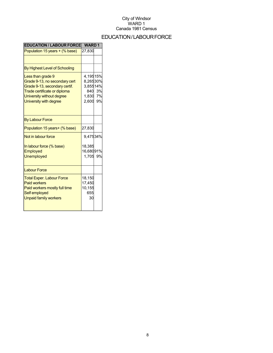# EDUCATION/LABOURFORCE

| <b>EDUCATION / LABOUR FORCE</b>                                                                                                                                            | <b>WARD1</b>                                              |                |
|----------------------------------------------------------------------------------------------------------------------------------------------------------------------------|-----------------------------------------------------------|----------------|
| Population 15 years + (% base)                                                                                                                                             | 27,830                                                    |                |
|                                                                                                                                                                            |                                                           |                |
| By Highest Level of Schooling                                                                                                                                              |                                                           |                |
| Less than grade 9<br>Grade 9-13, no secondary cert<br>Grade 9-13, secondary certif.<br>Trade certificate or diploma<br>University without degree<br>University with degree | 4,19515%<br>8,26530%<br>3,85514%<br>840<br>1,830<br>2,600 | 3%<br>7%<br>9% |
| <b>By Labour Force</b>                                                                                                                                                     |                                                           |                |
| Population 15 years+ (% base)                                                                                                                                              | 27,830                                                    |                |
| Not in labour force                                                                                                                                                        | 9,47534%                                                  |                |
| In labour force (% base)<br>Employed<br><b>Unemployed</b>                                                                                                                  | 18,385<br>16,68091%<br>1,705                              | 9%             |
| <b>Labour Force</b>                                                                                                                                                        |                                                           |                |
| <b>Total Exper. Labour Force</b><br><b>Paid workers</b><br>Paid workers mostly full time<br>Self employed<br><b>Unpaid family workers</b>                                  | 18,150<br>17,450<br>10,155<br>655<br>30                   |                |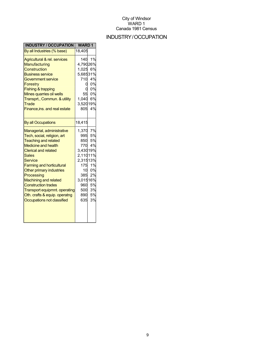# INDUSTRY/OCCUPATION

| <b>INDUSTRY / OCCUPATION</b>                                                                                                                                                                                                                                                                                                                                                                                                        | <b>WARD1</b>                                                                                                                  |                                                          |
|-------------------------------------------------------------------------------------------------------------------------------------------------------------------------------------------------------------------------------------------------------------------------------------------------------------------------------------------------------------------------------------------------------------------------------------|-------------------------------------------------------------------------------------------------------------------------------|----------------------------------------------------------|
| By all Industries (% base)                                                                                                                                                                                                                                                                                                                                                                                                          | 18,405                                                                                                                        |                                                          |
| Agricultural & rel. services<br>Manufacturing<br>Construction<br><b>Business service</b><br><b>Government service</b><br>Forestry<br><b>Fishing &amp; trapping</b><br>Mines quarries oil wells<br>Transprt., Commun. & utility<br>Trade<br>Finance, ins. and real estate                                                                                                                                                            | 140<br>4,79026%<br>1,025<br>5,68531%<br>710<br>55<br>1,040<br>3,52019%<br>805                                                 | 1%<br>6%<br>4%<br>0%<br>0%<br>0%<br>6%<br>4%             |
| <b>By all Occupations</b>                                                                                                                                                                                                                                                                                                                                                                                                           | 18,415                                                                                                                        |                                                          |
| Managerial, administrative<br>Tech, social, religion, art<br><b>Teaching and related</b><br><b>Medicine and health</b><br><b>Clerical and related</b><br><b>Sales</b><br>Service<br><b>Farming and horticultural</b><br>Other primary industries<br>Processing<br><b>Machining and related</b><br><b>Construction trades</b><br><b>Transport equipmnt. operating</b><br>Oth. crafts & equip. operatng<br>Occupations not classified | 1,370 7%<br>995<br>850<br>770<br>3,43019%<br>2,11011%<br>2,31513%<br>175<br>10<br>385<br>3,01516%<br>960<br>500<br>890<br>635 | 5%<br>5%<br>4%<br>1%<br>0%<br>2%<br>5%<br>3%<br>5%<br>3% |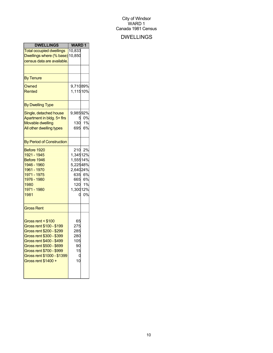### DWELLINGS

| <b>DWELLINGS</b>                                                                                                                                                                                                                                | <b>WARD1</b>                                                  |                                            |
|-------------------------------------------------------------------------------------------------------------------------------------------------------------------------------------------------------------------------------------------------|---------------------------------------------------------------|--------------------------------------------|
| <b>Total occupied dwellings</b><br>Dwellings where (% base) 10,850<br>census data are available.                                                                                                                                                | 10,833                                                        |                                            |
| <b>By Tenure</b>                                                                                                                                                                                                                                |                                                               |                                            |
| Owned<br>Rented                                                                                                                                                                                                                                 | 9,71089%<br>1,11510%                                          |                                            |
| <b>By Dwelling Type</b>                                                                                                                                                                                                                         |                                                               |                                            |
| Single, detached house<br>Apartment in bldg. 5+ firs<br><b>Movable dwelling</b><br>All other dwelling types                                                                                                                                     | 9,98592%<br>130<br>695                                        | 0%<br>1%<br>6%                             |
| <b>By Period of Construction</b>                                                                                                                                                                                                                |                                                               |                                            |
| Before 1920<br>1921 - 1945<br>Before 1946<br>1946 - 1960<br>1961 - 1970<br>1971 - 1975<br>1976 - 1980<br>1980<br>1971 - 1980<br>1981                                                                                                            | 1,34512%<br>1,55514%<br>5,22548%<br>2,64024%<br>1,30012%<br>Ω | 210 2%<br>635 6%<br>665 6%<br>120 1%<br>0% |
| <b>Gross Rent</b>                                                                                                                                                                                                                               |                                                               |                                            |
| Gross rent < \$100<br>Gross rent \$100 - \$199<br>Gross rent \$200 - \$299<br>Gross rent \$300 - \$399<br>Gross rent \$400 - \$499<br>Gross rent \$500 - \$699<br>Gross rent \$700 - \$999<br>Gross rent \$1000 - \$1399<br>Gross rent \$1400 + | 65<br>275<br>285<br>280<br>105<br>90<br>15<br>C<br>10         |                                            |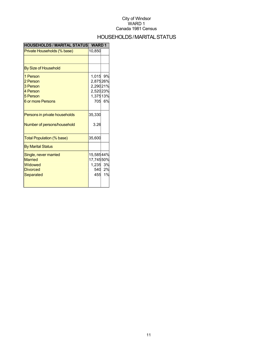### HOUSEHOLDS/MARITALSTATUS

| <b>HOUSEHOLDS / MARITAL STATUS</b>                                                   | <b>WARD1</b>                                          |              |
|--------------------------------------------------------------------------------------|-------------------------------------------------------|--------------|
| Private Households (% base)                                                          | 10,850                                                |              |
|                                                                                      |                                                       |              |
| <b>By Size of Household</b>                                                          |                                                       |              |
| 1 Person<br>2 Person<br>3 Person<br>4 Person<br>5 Person<br><b>6 or more Persons</b> | 1,015<br>2,87526%<br>2,29021%<br>2,52023%<br>1,37513% | 9%<br>705 6% |
| Persons in private households<br>Number of persons/household                         | 35,330<br>3.26                                        |              |
| Total Population (% base)                                                            | 35,600                                                |              |
| <b>By Marital Status</b>                                                             |                                                       |              |
| Single, never married<br><b>Married</b><br>Widowed<br><b>Divorced</b><br>Separated   | 15,58544%<br>17,74550%<br>1,235 3%<br>455             | 540 2%<br>1% |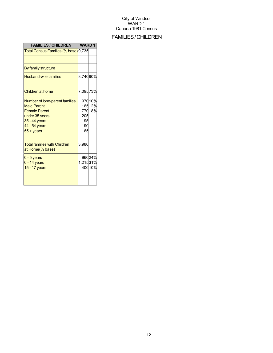# FAMILIES/CHILDREN

| <b>FAMILIES / CHILDREN</b>                                                                                                                                | <b>WARD1</b>                           |                    |
|-----------------------------------------------------------------------------------------------------------------------------------------------------------|----------------------------------------|--------------------|
| Total Census Families (% base) 9,735                                                                                                                      |                                        |                    |
|                                                                                                                                                           |                                        |                    |
| By family structure                                                                                                                                       |                                        |                    |
| <b>Husband-wife families</b>                                                                                                                              | 8,74090%                               |                    |
| Children at home                                                                                                                                          | 7,09573%                               |                    |
| Number of lone-parent families<br><b>Male Parent</b><br><b>Female Parent</b><br>under 35 years<br>35 - 44 years<br>44 - 54 years<br>$55 + \mathrm{years}$ | 165<br>770<br>205<br>195<br>190<br>165 | 97010%<br>2%<br>8% |
| <b>Total families with Children</b><br>at Home(% base)                                                                                                    | 3,980                                  |                    |
| $0 - 5$ years<br>6 - 14 years<br>15 - 17 years                                                                                                            | 1,21531%                               | 96024%<br>40010%   |